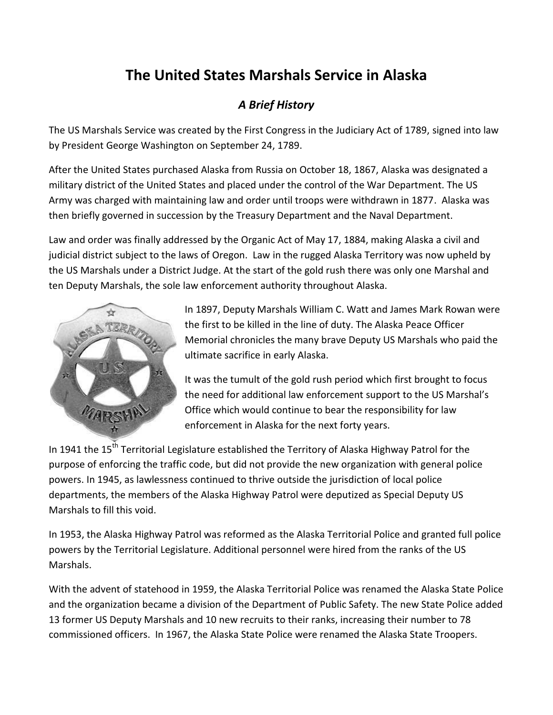## **The United States Marshals Service in Alaska**

## *A Brief History*

The US Marshals Service was created by the First Congress in the Judiciary Act of 1789, signed into law by President George Washington on September 24, 1789.

After the United States purchased Alaska from Russia on October 18, 1867, Alaska was designated a military district of the United States and placed under the control of the War Department. The US Army was charged with maintaining law and order until troops were withdrawn in 1877. Alaska was then briefly governed in succession by the Treasury Department and the Naval Department.

Law and order was finally addressed by the Organic Act of May 17, 1884, making Alaska a civil and judicial district subject to the laws of Oregon. Law in the rugged Alaska Territory was now upheld by the US Marshals under a District Judge. At the start of the gold rush there was only one Marshal and ten Deputy Marshals, the sole law enforcement authority throughout Alaska.



In 1897, Deputy Marshals William C. Watt and James Mark Rowan were the first to be killed in the line of duty. The Alaska Peace Officer Memorial chronicles the many brave Deputy US Marshals who paid the ultimate sacrifice in early Alaska.

It was the tumult of the gold rush period which first brought to focus the need for additional law enforcement support to the US Marshal's Office which would continue to bear the responsibility for law enforcement in Alaska for the next forty years.

In 1941 the  $15<sup>th</sup>$  Territorial Legislature established the Territory of Alaska Highway Patrol for the purpose of enforcing the traffic code, but did not provide the new organization with general police powers. In 1945, as lawlessness continued to thrive outside the jurisdiction of local police departments, the members of the Alaska Highway Patrol were deputized as Special Deputy US Marshals to fill this void.

In 1953, the Alaska Highway Patrol was reformed as the Alaska Territorial Police and granted full police powers by the Territorial Legislature. Additional personnel were hired from the ranks of the US Marshals.

With the advent of statehood in 1959, the Alaska Territorial Police was renamed the Alaska State Police and the organization became a division of the Department of Public Safety. The new State Police added 13 former US Deputy Marshals and 10 new recruits to their ranks, increasing their number to 78 commissioned officers. In 1967, the Alaska State Police were renamed the Alaska State Troopers.